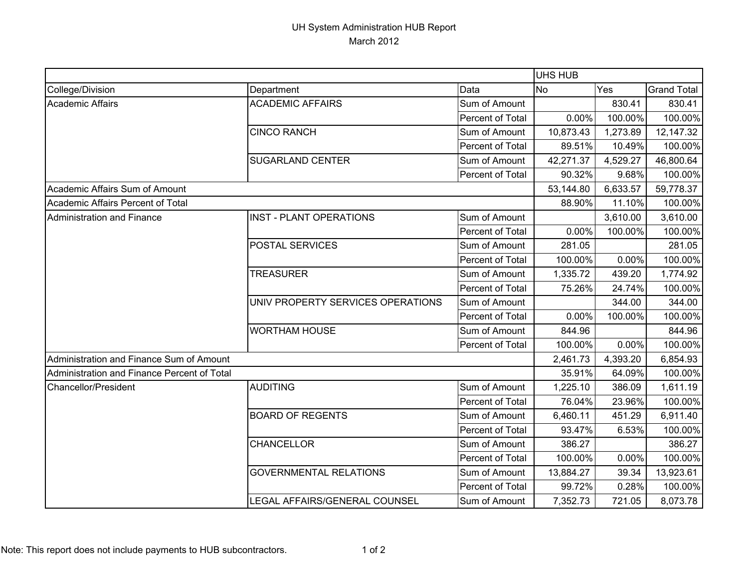## UH System Administration HUB Report March 2012

|                                             |                                   |                  | <b>UHS HUB</b>   |          |                    |
|---------------------------------------------|-----------------------------------|------------------|------------------|----------|--------------------|
| College/Division                            | Department                        | Data             | Yes<br><b>No</b> |          | <b>Grand Total</b> |
| <b>Academic Affairs</b>                     | <b>ACADEMIC AFFAIRS</b>           | Sum of Amount    |                  | 830.41   | 830.41             |
|                                             |                                   | Percent of Total | 0.00%            | 100.00%  | 100.00%            |
|                                             | <b>CINCO RANCH</b>                | Sum of Amount    | 10,873.43        | 1,273.89 | 12,147.32          |
|                                             |                                   | Percent of Total | 89.51%           | 10.49%   | 100.00%            |
|                                             | <b>SUGARLAND CENTER</b>           | Sum of Amount    | 42,271.37        | 4,529.27 | 46,800.64          |
|                                             |                                   | Percent of Total | 90.32%           | 9.68%    | 100.00%            |
| Academic Affairs Sum of Amount              |                                   |                  | 53,144.80        | 6,633.57 | 59,778.37          |
| Academic Affairs Percent of Total           |                                   |                  | 88.90%           | 11.10%   | 100.00%            |
| <b>Administration and Finance</b>           | <b>INST - PLANT OPERATIONS</b>    | Sum of Amount    |                  | 3,610.00 | 3,610.00           |
|                                             |                                   | Percent of Total | 0.00%            | 100.00%  | 100.00%            |
|                                             | POSTAL SERVICES                   | Sum of Amount    | 281.05           |          | 281.05             |
|                                             |                                   | Percent of Total | 100.00%          | 0.00%    | 100.00%            |
|                                             | <b>TREASURER</b>                  | Sum of Amount    | 1,335.72         | 439.20   | 1,774.92           |
|                                             |                                   | Percent of Total | 75.26%           | 24.74%   | 100.00%            |
|                                             | UNIV PROPERTY SERVICES OPERATIONS | Sum of Amount    |                  | 344.00   | 344.00             |
|                                             |                                   | Percent of Total | 0.00%            | 100.00%  | 100.00%            |
|                                             | <b>WORTHAM HOUSE</b>              | Sum of Amount    | 844.96           |          | 844.96             |
|                                             |                                   | Percent of Total | 100.00%          | 0.00%    | 100.00%            |
| Administration and Finance Sum of Amount    |                                   |                  | 2,461.73         | 4,393.20 | 6,854.93           |
| Administration and Finance Percent of Total |                                   |                  | 35.91%           | 64.09%   | 100.00%            |
| Chancellor/President                        | <b>AUDITING</b>                   | Sum of Amount    | 1,225.10         | 386.09   | 1,611.19           |
|                                             |                                   | Percent of Total | 76.04%           | 23.96%   | 100.00%            |
|                                             | <b>BOARD OF REGENTS</b>           | Sum of Amount    | 6,460.11         | 451.29   | 6,911.40           |
|                                             |                                   | Percent of Total | 93.47%           | 6.53%    | 100.00%            |
|                                             | <b>CHANCELLOR</b>                 | Sum of Amount    | 386.27           |          | 386.27             |
|                                             |                                   | Percent of Total | 100.00%          | 0.00%    | 100.00%            |
|                                             | <b>GOVERNMENTAL RELATIONS</b>     | Sum of Amount    | 13,884.27        | 39.34    | 13,923.61          |
|                                             |                                   | Percent of Total | 99.72%           | 0.28%    | 100.00%            |
|                                             | LEGAL AFFAIRS/GENERAL COUNSEL     | Sum of Amount    | 7,352.73         | 721.05   | 8,073.78           |